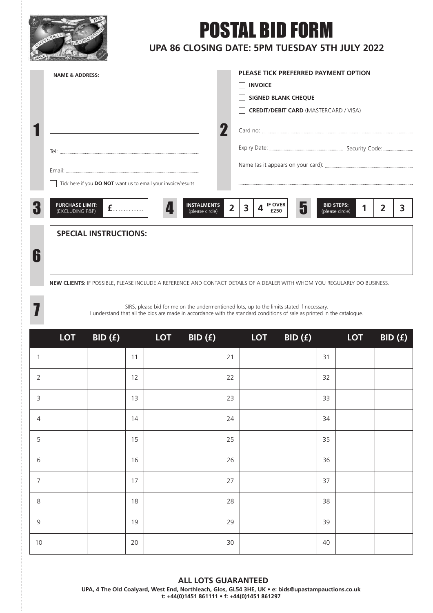

7

## POSTAL BID FORM

## **UPA 86 CLOSING DATE: 5PM TUESDAY 5TH JULY 2022**

| <b>NAME &amp; ADDRESS:</b>                                                              |   | PLEASE TICK PREFERRED PAYMENT OPTION                                |  |  |  |  |  |
|-----------------------------------------------------------------------------------------|---|---------------------------------------------------------------------|--|--|--|--|--|
|                                                                                         |   | <b>INVOICE</b>                                                      |  |  |  |  |  |
|                                                                                         |   | <b>SIGNED BLANK CHEQUE</b>                                          |  |  |  |  |  |
|                                                                                         |   | <b>CREDIT/DEBIT CARD (MASTERCARD / VISA)</b>                        |  |  |  |  |  |
|                                                                                         |   |                                                                     |  |  |  |  |  |
|                                                                                         |   |                                                                     |  |  |  |  |  |
|                                                                                         |   |                                                                     |  |  |  |  |  |
| Tick here if you DO NOT want us to email your invoice/results                           |   |                                                                     |  |  |  |  |  |
|                                                                                         |   |                                                                     |  |  |  |  |  |
| <b>PURCHASE LIMIT:</b><br><b>INSTALMENTS</b><br>£<br>(EXCLUDING P&P)<br>(please circle) | 2 | <b>BID STEPS:</b><br><b>IF OVER</b><br>3<br>(please circle)<br>£250 |  |  |  |  |  |
| <b>SPECIAL INSTRUCTIONS:</b>                                                            |   |                                                                     |  |  |  |  |  |
|                                                                                         |   |                                                                     |  |  |  |  |  |
|                                                                                         |   |                                                                     |  |  |  |  |  |
|                                                                                         |   |                                                                     |  |  |  |  |  |

**NEW CLIENTS:** IF POSSIBLE, PLEASE INCLUDE A REFERENCE AND CONTACT DETAILS OF A DEALER WITH WHOM YOU REGULARLY DO BUSINESS.

SIRS, please bid for me on the undermentioned lots, up to the limits stated if necessary. I understand that all the bids are made in accordance with the standard conditions of sale as printed in the catalogue.

|                  | <b>LOT</b> | BID (f) | $\mathcal{L}(\mathcal{L})$ and $\mathcal{L}(\mathcal{L})$ and $\mathcal{L}(\mathcal{L})$ | LOT | BID(f) |        | <b>LOT</b> | BID(f) | and the state of the state of the state of the state of the state of the state of the state of the state of th | <b>LOT</b> | BID(f) |
|------------------|------------|---------|------------------------------------------------------------------------------------------|-----|--------|--------|------------|--------|----------------------------------------------------------------------------------------------------------------|------------|--------|
| $\mathbf{1}$     |            |         | 11                                                                                       |     |        | 21     |            |        | 31                                                                                                             |            |        |
| $\overline{2}$   |            |         | 12                                                                                       |     |        | 22     |            |        | 32                                                                                                             |            |        |
| 3                |            |         | 13                                                                                       |     |        | 23     |            |        | 33                                                                                                             |            |        |
| $\overline{4}$   |            |         | 14                                                                                       |     |        | 24     |            |        | 34                                                                                                             |            |        |
| 5                |            |         | 15                                                                                       |     |        | 25     |            |        | 35                                                                                                             |            |        |
| 6                |            |         | 16                                                                                       |     |        | 26     |            |        | 36                                                                                                             |            |        |
| $\boldsymbol{7}$ |            |         | 17                                                                                       |     |        | 27     |            |        | 37                                                                                                             |            |        |
| $\,8\,$          |            |         | 18                                                                                       |     |        | 28     |            |        | 38                                                                                                             |            |        |
| $\mathsf 9$      |            |         | 19                                                                                       |     |        | 29     |            |        | 39                                                                                                             |            |        |
| $10$             |            |         | 20                                                                                       |     |        | $30\,$ |            |        | 40                                                                                                             |            |        |